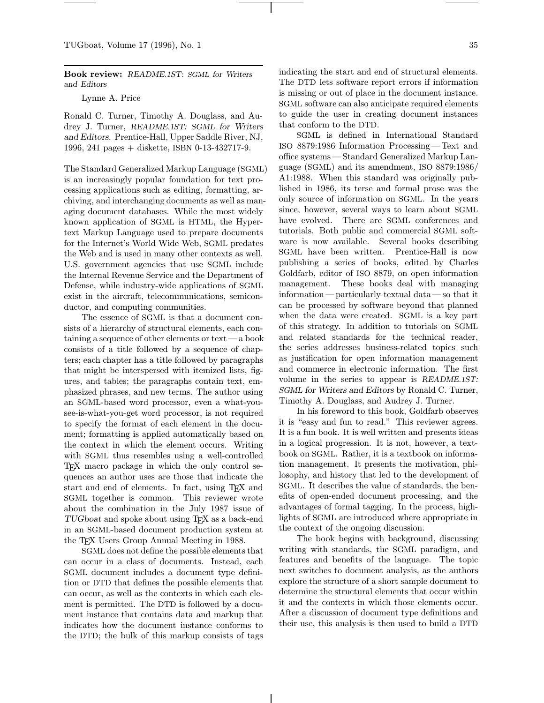Book review: README.1ST: SGML for Writers and Editors

Lynne A. Price

Ronald C. Turner, Timothy A. Douglass, and Audrey J. Turner, README.1ST: SGML for Writers and Editors. Prentice-Hall, Upper Saddle River, NJ, 1996, 241 pages + diskette, ISBN 0-13-432717-9.

The Standard Generalized Markup Language (SGML) is an increasingly popular foundation for text processing applications such as editing, formatting, archiving, and interchanging documents as well as managing document databases. While the most widely known application of SGML is HTML, the Hypertext Markup Language used to prepare documents for the Internet's World Wide Web, SGML predates the Web and is used in many other contexts as well. U.S. government agencies that use SGML include the Internal Revenue Service and the Department of Defense, while industry-wide applications of SGML exist in the aircraft, telecommunications, semiconductor, and computing communities.

The essence of SGML is that a document consists of a hierarchy of structural elements, each containing a sequence of other elements or text—a book consists of a title followed by a sequence of chapters; each chapter has a title followed by paragraphs that might be interspersed with itemized lists, figures, and tables; the paragraphs contain text, emphasized phrases, and new terms. The author using an SGML-based word processor, even a what-yousee-is-what-you-get word processor, is not required to specify the format of each element in the document; formatting is applied automatically based on the context in which the element occurs. Writing with SGML thus resembles using a well-controlled TEX macro package in which the only control sequences an author uses are those that indicate the start and end of elements. In fact, using TEX and SGML together is common. This reviewer wrote about the combination in the July 1987 issue of TUGboat and spoke about using TEX as a back-end in an SGML-based document production system at the T<sub>EX</sub> Users Group Annual Meeting in 1988.

SGML does not define the possible elements that can occur in a class of documents. Instead, each SGML document includes a document type definition or DTD that defines the possible elements that can occur, as well as the contexts in which each element is permitted. The DTD is followed by a document instance that contains data and markup that indicates how the document instance conforms to the DTD; the bulk of this markup consists of tags

indicating the start and end of structural elements. The DTD lets software report errors if information is missing or out of place in the document instance. SGML software can also anticipate required elements to guide the user in creating document instances that conform to the DTD.

SGML is defined in International Standard ISO 8879:1986 Information Processing—Text and office systems —Standard Generalized Markup Language (SGML) and its amendment, ISO 8879:1986/ A1:1988. When this standard was originally published in 1986, its terse and formal prose was the only source of information on SGML. In the years since, however, several ways to learn about SGML have evolved. There are SGML conferences and tutorials. Both public and commercial SGML software is now available. Several books describing SGML have been written. Prentice-Hall is now publishing a series of books, edited by Charles Goldfarb, editor of ISO 8879, on open information management. These books deal with managing information—particularly textual data—so that it can be processed by software beyond that planned when the data were created. SGML is a key part of this strategy. In addition to tutorials on SGML and related standards for the technical reader, the series addresses business-related topics such as justification for open information management and commerce in electronic information. The first volume in the series to appear is README.1ST: SGML for Writers and Editors by Ronald C. Turner, Timothy A. Douglass, and Audrey J. Turner.

In his foreword to this book, Goldfarb observes it is "easy and fun to read." This reviewer agrees. It is a fun book. It is well written and presents ideas in a logical progression. It is not, however, a textbook on SGML. Rather, it is a textbook on information management. It presents the motivation, philosophy, and history that led to the development of SGML. It describes the value of standards, the benefits of open-ended document processing, and the advantages of formal tagging. In the process, highlights of SGML are introduced where appropriate in the context of the ongoing discussion.

The book begins with background, discussing writing with standards, the SGML paradigm, and features and benefits of the language. The topic next switches to document analysis, as the authors explore the structure of a short sample document to determine the structural elements that occur within it and the contexts in which those elements occur. After a discussion of document type definitions and their use, this analysis is then used to build a DTD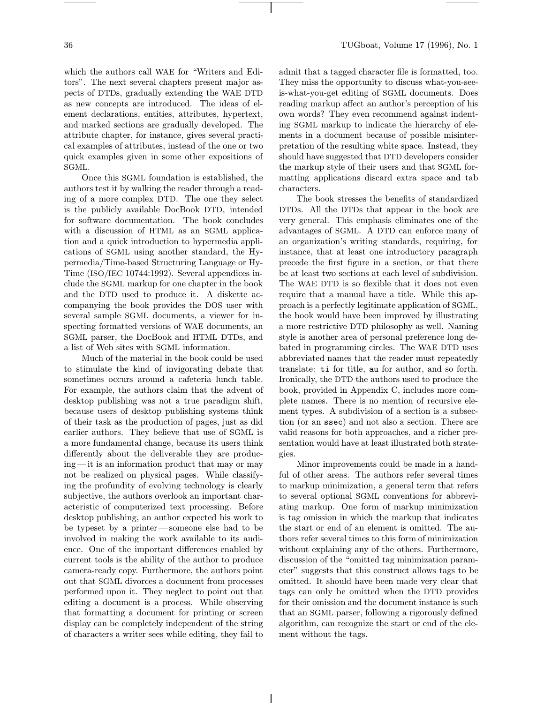which the authors call WAE for "Writers and Editors". The next several chapters present major aspects of DTDs, gradually extending the WAE DTD as new concepts are introduced. The ideas of element declarations, entities, attributes, hypertext, and marked sections are gradually developed. The attribute chapter, for instance, gives several practical examples of attributes, instead of the one or two quick examples given in some other expositions of SGML.

Once this SGML foundation is established, the authors test it by walking the reader through a reading of a more complex DTD. The one they select is the publicly available DocBook DTD, intended for software documentation. The book concludes with a discussion of HTML as an SGML application and a quick introduction to hypermedia applications of SGML using another standard, the Hypermedia/Time-based Structuring Language or Hy-Time (ISO/IEC 10744:1992). Several appendices include the SGML markup for one chapter in the book and the DTD used to produce it. A diskette accompanying the book provides the DOS user with several sample SGML documents, a viewer for inspecting formatted versions of WAE documents, an SGML parser, the DocBook and HTML DTDs, and a list of Web sites with SGML information.

Much of the material in the book could be used to stimulate the kind of invigorating debate that sometimes occurs around a cafeteria lunch table. For example, the authors claim that the advent of desktop publishing was not a true paradigm shift, because users of desktop publishing systems think of their task as the production of pages, just as did earlier authors. They believe that use of SGML is a more fundamental change, because its users think differently about the deliverable they are producing —it is an information product that may or may not be realized on physical pages. While classifying the profundity of evolving technology is clearly subjective, the authors overlook an important characteristic of computerized text processing. Before desktop publishing, an author expected his work to be typeset by a printer—someone else had to be involved in making the work available to its audience. One of the important differences enabled by current tools is the ability of the author to produce camera-ready copy. Furthermore, the authors point out that SGML divorces a document from processes performed upon it. They neglect to point out that editing a document is a process. While observing that formatting a document for printing or screen display can be completely independent of the string of characters a writer sees while editing, they fail to

admit that a tagged character file is formatted, too. They miss the opportunity to discuss what-you-seeis-what-you-get editing of SGML documents. Does reading markup affect an author's perception of his own words? They even recommend against indenting SGML markup to indicate the hierarchy of elements in a document because of possible misinterpretation of the resulting white space. Instead, they should have suggested that DTD developers consider the markup style of their users and that SGML formatting applications discard extra space and tab characters.

The book stresses the benefits of standardized DTDs. All the DTDs that appear in the book are very general. This emphasis eliminates one of the advantages of SGML. A DTD can enforce many of an organization's writing standards, requiring, for instance, that at least one introductory paragraph precede the first figure in a section, or that there be at least two sections at each level of subdivision. The WAE DTD is so flexible that it does not even require that a manual have a title. While this approach is a perfectly legitimate application of SGML, the book would have been improved by illustrating a more restrictive DTD philosophy as well. Naming style is another area of personal preference long debated in programming circles. The WAE DTD uses abbreviated names that the reader must repeatedly translate: ti for title, au for author, and so forth. Ironically, the DTD the authors used to produce the book, provided in Appendix C, includes more complete names. There is no mention of recursive element types. A subdivision of a section is a subsection (or an ssec) and not also a section. There are valid reasons for both approaches, and a richer presentation would have at least illustrated both strategies.

Minor improvements could be made in a handful of other areas. The authors refer several times to markup minimization, a general term that refers to several optional SGML conventions for abbreviating markup. One form of markup minimization is tag omission in which the markup that indicates the start or end of an element is omitted. The authors refer several times to this form of minimization without explaining any of the others. Furthermore, discussion of the "omitted tag minimization parameter" suggests that this construct allows tags to be omitted. It should have been made very clear that tags can only be omitted when the DTD provides for their omission and the document instance is such that an SGML parser, following a rigorously defined algorithm, can recognize the start or end of the element without the tags.